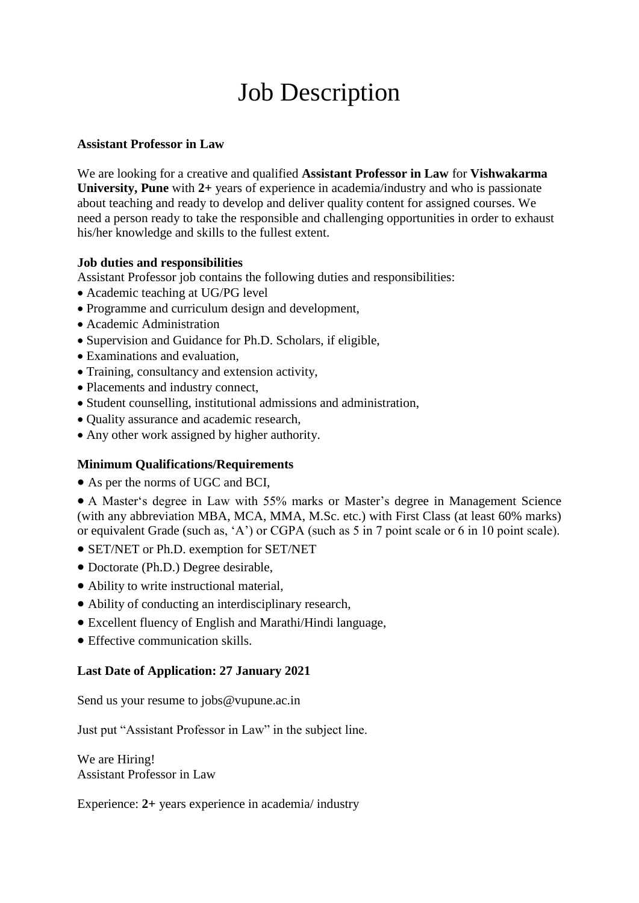# Job Description

### **Assistant Professor in Law**

We are looking for a creative and qualified **Assistant Professor in Law** for **Vishwakarma University, Pune** with **2+** years of experience in academia/industry and who is passionate about teaching and ready to develop and deliver quality content for assigned courses. We need a person ready to take the responsible and challenging opportunities in order to exhaust his/her knowledge and skills to the fullest extent.

#### **Job duties and responsibilities**

Assistant Professor job contains the following duties and responsibilities:

- Academic teaching at UG/PG level
- Programme and curriculum design and development,
- Academic Administration
- Supervision and Guidance for Ph.D. Scholars, if eligible,
- Examinations and evaluation,
- Training, consultancy and extension activity,
- Placements and industry connect,
- Student counselling, institutional admissions and administration,
- Quality assurance and academic research,
- Any other work assigned by higher authority.

## **Minimum Qualifications/Requirements**

As per the norms of UGC and BCI,

 A Master's degree in Law with 55% marks or Master's degree in Management Science (with any abbreviation MBA, MCA, MMA, M.Sc. etc.) with First Class (at least 60% marks) or equivalent Grade (such as, 'A') or CGPA (such as 5 in 7 point scale or 6 in 10 point scale).

- SET/NET or Ph.D. exemption for SET/NET
- Doctorate (Ph.D.) Degree desirable,
- Ability to write instructional material,
- Ability of conducting an interdisciplinary research,
- Excellent fluency of English and Marathi/Hindi language,
- Effective communication skills.

## **Last Date of Application: 27 January 2021**

Send us your resume to jobs@vupune.ac.in

Just put "Assistant Professor in Law" in the subject line.

We are Hiring! Assistant Professor in Law

Experience: **2+** years experience in academia/ industry